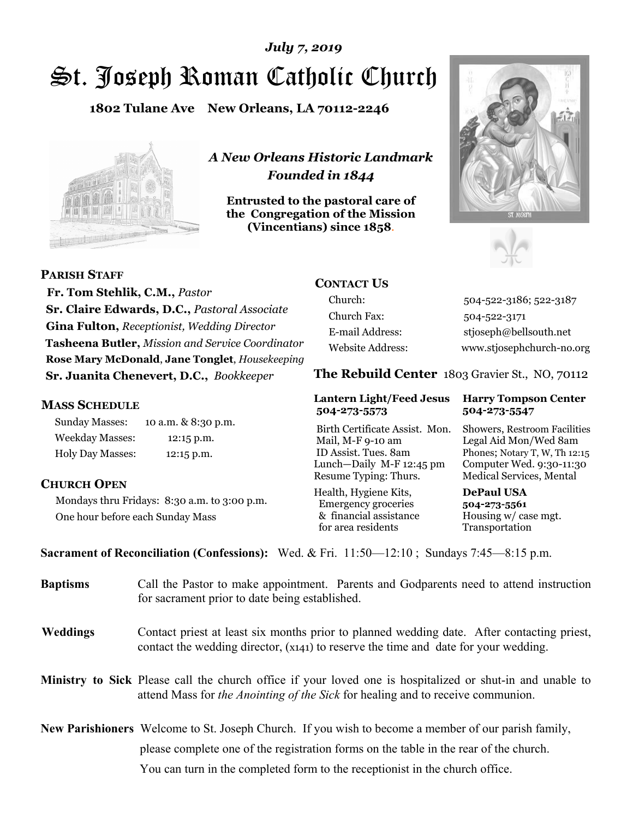# St. Joseph Roman Catholic Church *July 7, 2019*

**1802 Tulane Ave New Orleans, LA 70112-2246**



*A New Orleans Historic Landmark Founded in 1844* 

**Entrusted to the pastoral care of the Congregation of the Mission (Vincentians) since 1858**.





**PARISH STAFF**

 **Fr. Tom Stehlik, C.M.,** *Pastor* **Sr. Claire Edwards, D.C.,** *Pastoral Associate* **Gina Fulton,** *Receptionist, Wedding Director* **Tasheena Butler,** *Mission and Service Coordinator* **Rose Mary McDonald**, **Jane Tonglet**, *Housekeeping* **Sr. Juanita Chenevert, D.C.,** *Bookkeeper* 

#### **MASS SCHEDULE**

Sunday Masses: 10 a.m. & 8:30 p.m. Weekday Masses: 12:15 p.m. Holy Day Masses: 12:15 p.m.

### **CHURCH OPEN**

Mondays thru Fridays: 8:30 a.m. to 3:00 p.m. One hour before each Sunday Mass

## **CONTACT US**

Church: 504-522-3186; 522-3187 Church Fax: 504-522-3171 E-mail Address: stjoseph@bellsouth.net Website Address: www.stjosephchurch-no.org

**The Rebuild Center** 1803 Gravier St., NO, 70112

#### **Lantern Light/Feed Jesus Harry Tompson Center 504-273-5573 504-273-5547**

Birth Certificate Assist. Mon. Showers, Restroom Facilities Mail, M-F 9-10 am Legal Aid Mon/Wed 8am ID Assist. Tues. 8am Phones; Notary T, W, Th 12:15 Lunch—Daily M-F 12:45 pm Computer Wed. 9:30-11:30 Resume Typing: Thurs. Medical Services, Mental

Health, Hygiene Kits, **DePaul USA**  Emergency groceries **504-273-5561** & financial assistance Housing w/ case mgt. for area residents Transportation

**Sacrament of Reconciliation (Confessions):** Wed. & Fri. 11:50—12:10 ; Sundays 7:45—8:15 p.m.

| <b>Baptisms</b> | Call the Pastor to make appointment. Parents and Godparents need to attend instruction<br>for sacrament prior to date being established.                                                            |
|-----------------|-----------------------------------------------------------------------------------------------------------------------------------------------------------------------------------------------------|
| <b>Weddings</b> | Contact priest at least six months prior to planned wedding date. After contacting priest,<br>contact the wedding director, (x141) to reserve the time and date for your wedding.                   |
|                 | <b>Ministry to Sick</b> Please call the church office if your loved one is hospitalized or shut-in and unable to<br>attend Mass for the Anointing of the Sick for healing and to receive communion. |
|                 | <b>New Parishioners</b> Welcome to St. Joseph Church. If you wish to become a member of our parish family,                                                                                          |
|                 | please complete one of the registration forms on the table in the rear of the church.                                                                                                               |
|                 | You can turn in the completed form to the receptionist in the church office.                                                                                                                        |